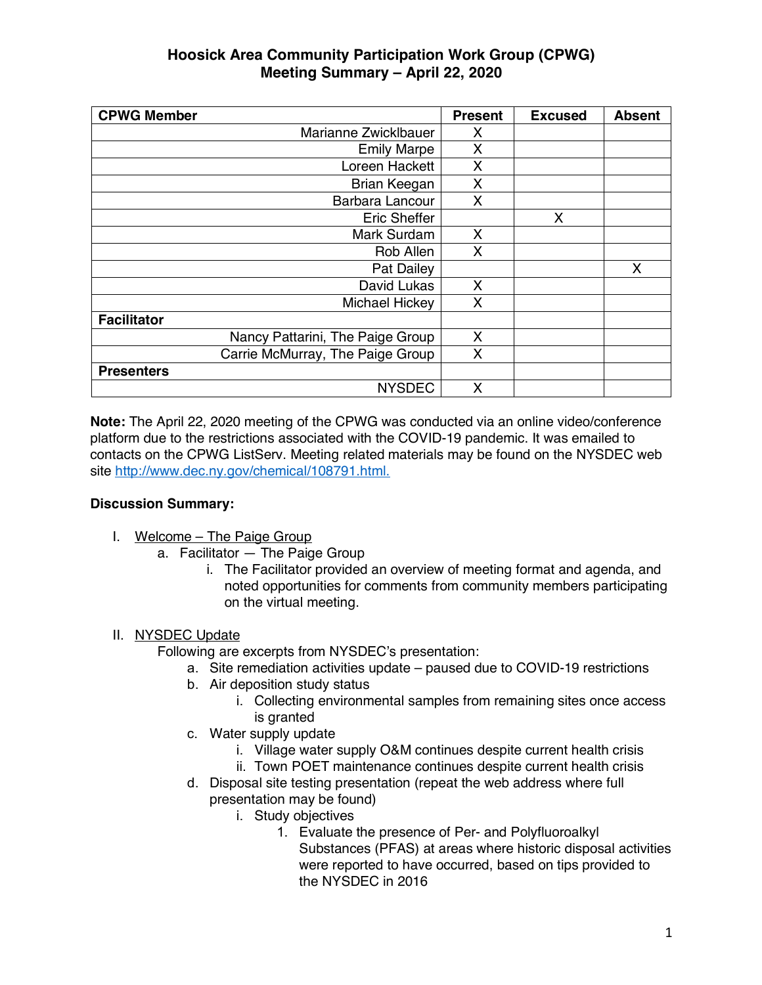| <b>CPWG Member</b>               | <b>Present</b> | <b>Excused</b> | <b>Absent</b> |
|----------------------------------|----------------|----------------|---------------|
| Marianne Zwicklbauer             | X              |                |               |
| <b>Emily Marpe</b>               | X              |                |               |
| Loreen Hackett                   | Χ              |                |               |
| Brian Keegan                     | X              |                |               |
| Barbara Lancour                  | X              |                |               |
| <b>Eric Sheffer</b>              |                | X              |               |
| Mark Surdam                      | X              |                |               |
| Rob Allen                        | X              |                |               |
| Pat Dailey                       |                |                | X             |
| David Lukas                      | X              |                |               |
| Michael Hickey                   | X              |                |               |
| <b>Facilitator</b>               |                |                |               |
| Nancy Pattarini, The Paige Group | X              |                |               |
| Carrie McMurray, The Paige Group | X              |                |               |
| <b>Presenters</b>                |                |                |               |
| <b>NYSDEC</b>                    | X              |                |               |

**Note:** The April 22, 2020 meeting of the CPWG was conducted via an online video/conference platform due to the restrictions associated with the COVID-19 pandemic. It was emailed to contacts on the CPWG ListServ. Meeting related materials may be found on the NYSDEC web site http://www.dec.ny.gov/chemical/108791.html.

#### **Discussion Summary:**

- I. Welcome The Paige Group
	- a. Facilitator The Paige Group
		- i. The Facilitator provided an overview of meeting format and agenda, and noted opportunities for comments from community members participating on the virtual meeting.

## II. NYSDEC Update

Following are excerpts from NYSDEC's presentation:

- a. Site remediation activities update paused due to COVID-19 restrictions
- b. Air deposition study status
	- i. Collecting environmental samples from remaining sites once access is granted
- c. Water supply update
	- i. Village water supply O&M continues despite current health crisis
	- ii. Town POET maintenance continues despite current health crisis
- d. Disposal site testing presentation (repeat the web address where full presentation may be found)
	- i. Study objectives
		- 1. Evaluate the presence of Per- and Polyfluoroalkyl Substances (PFAS) at areas where historic disposal activities were reported to have occurred, based on tips provided to the NYSDEC in 2016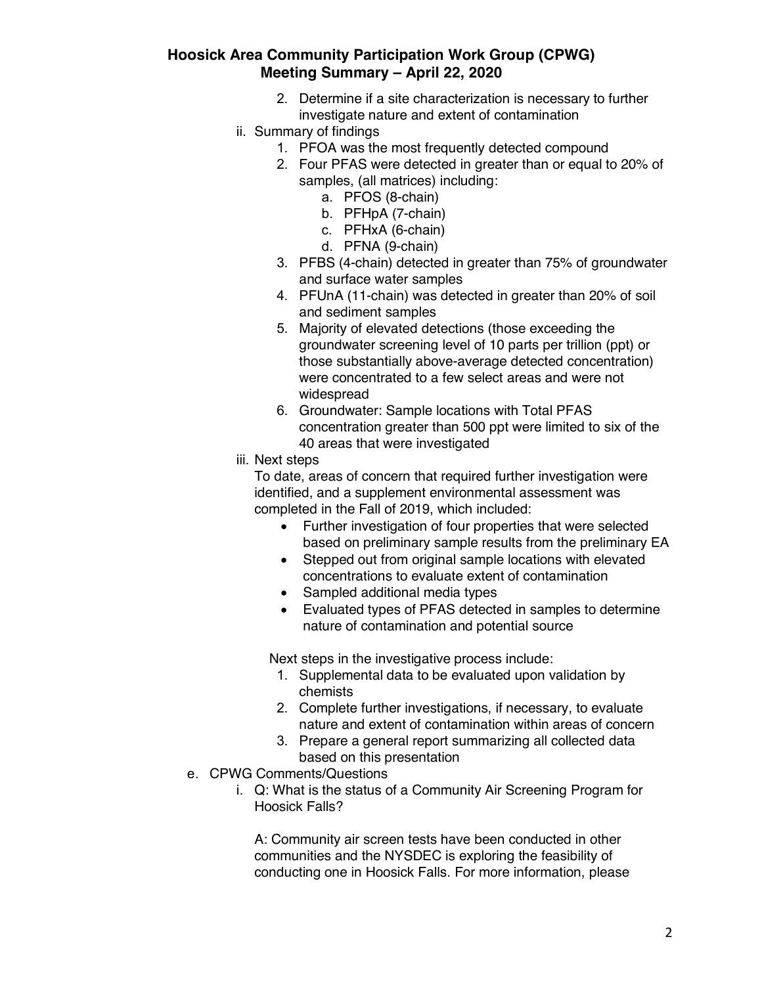- 2. Determine if a site characterization is necessary to further investigate nature and extent of contamination
- ii. Summary of findings
	- 1. PFOA was the most frequently detected compound
	- 2. Four PFAS were detected in greater than or equal to 20% of samples, (all matrices) including:
		- a. PFOS (8-chain)
		- b. PFHpA (7-chain)
		- c. PFHxA (6-chain)
		- d. PFNA (9-chain)
	- 3. PFBS (4-chain) detected in greater than 75% of groundwater and surface water samples
	- 4. PFUnA (11-chain) was detected in greater than 20% of soil and sediment samples
	- 5. Majority of elevated detections (those exceeding the groundwater screening level of 10 parts per trillion (ppt) or those substantially above-average detected concentration) were concentrated to a few select areas and were not widespread
	- 6. Groundwater: Sample locations with Total PFAS concentration greater than 500 ppt were limited to six of the 40 areas that were investigated
- iii. Next steps

To date, areas of concern that required further investigation were identified, and a supplement environmental assessment was completed in the Fall of 2019, which included:

- Further investigation of four properties that were selected based on preliminary sample results from the preliminary EA
- Stepped out from original sample locations with elevated concentrations to evaluate extent of contamination
- Sampled additional media types
- Evaluated types of PFAS detected in samples to determine nature of contamination and potential source

Next steps in the investigative process include:

- 1. Supplemental data to be evaluated upon validation by chemists
- 2. Complete further investigations, if necessary, to evaluate nature and extent of contamination within areas of concern
- 3. Prepare a general report summarizing all collected data based on this presentation
- e. CPWG Comments/Questions
	- i. Q: What is the status of a Community Air Screening Program for Hoosick Falls?

A: Community air screen tests have been conducted in other communities and the NYSDEC is exploring the feasibility of conducting one in Hoosick Falls. For more information, please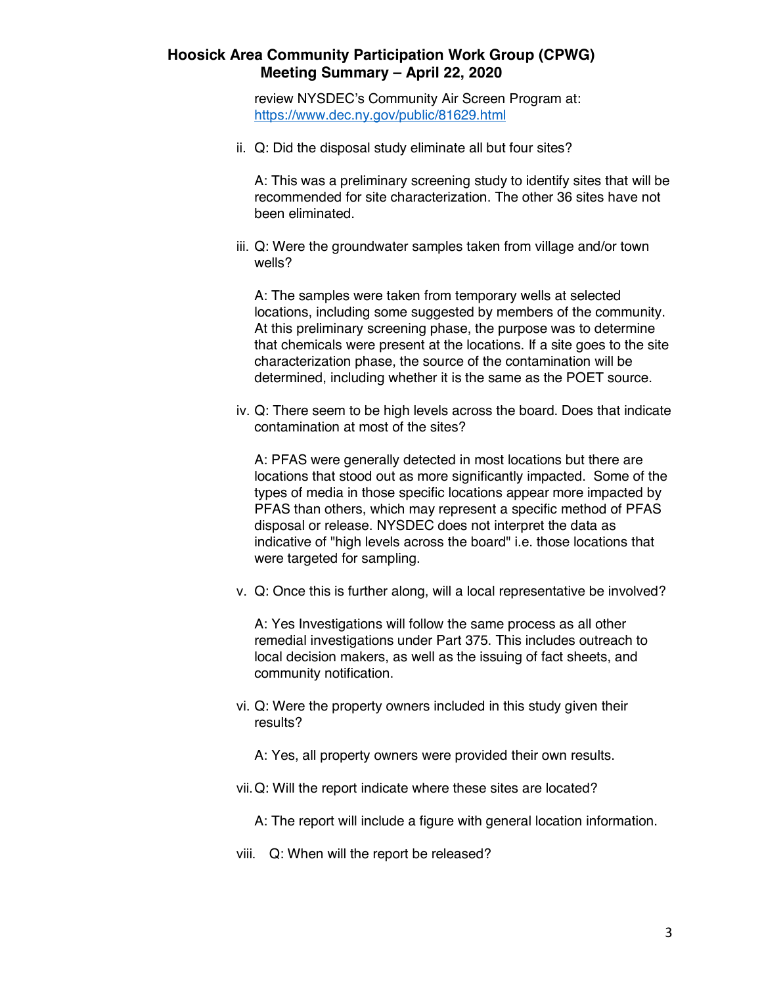review NYSDEC's Community Air Screen Program at: https://www.dec.ny.gov/public/81629.html

ii. Q: Did the disposal study eliminate all but four sites?

A: This was a preliminary screening study to identify sites that will be recommended for site characterization. The other 36 sites have not been eliminated.

iii. Q: Were the groundwater samples taken from village and/or town wells?

A: The samples were taken from temporary wells at selected locations, including some suggested by members of the community. At this preliminary screening phase, the purpose was to determine that chemicals were present at the locations. If a site goes to the site characterization phase, the source of the contamination will be determined, including whether it is the same as the POET source.

iv. Q: There seem to be high levels across the board. Does that indicate contamination at most of the sites?

A: PFAS were generally detected in most locations but there are locations that stood out as more significantly impacted. Some of the types of media in those specific locations appear more impacted by PFAS than others, which may represent a specific method of PFAS disposal or release. NYSDEC does not interpret the data as indicative of "high levels across the board" i.e. those locations that were targeted for sampling.

v. Q: Once this is further along, will a local representative be involved?

A: Yes Investigations will follow the same process as all other remedial investigations under Part 375. This includes outreach to local decision makers, as well as the issuing of fact sheets, and community notification.

- vi. Q: Were the property owners included in this study given their results?
	- A: Yes, all property owners were provided their own results.
- vii.Q: Will the report indicate where these sites are located?
	- A: The report will include a figure with general location information.
- viii. Q: When will the report be released?